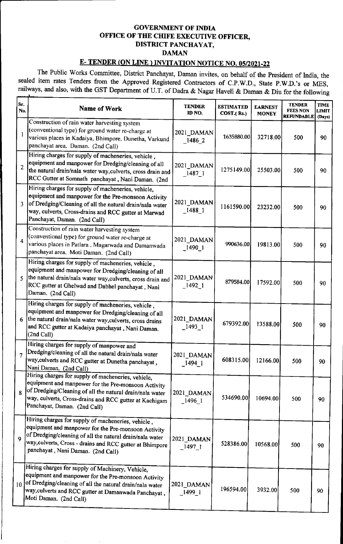## GOVERNMENT OF INDIA OFFICE OF THE CHIFE EXECUTIVE OFFICER, DISTRICT PANCHAYAT, DAMAN

## E- TENDER (ON LINE ) INVITATION NOTICE NO. 05/2021-22

The Public Works Committee, District Panchayat, Daman invites, on behalf of the President of India, the sealed item rates Tenders from the Approved Registered Contractors of C.P.W.D., State P.W.D.'s or MES, GOVERNME<br>
OFFICE OF THE CHIFE<br>
DISTRICT P.<br>
DAN<br>
E- TENDER (ON LINE ) INVIT.<br>
The Public Works Committee, District Panchayat,<br>
sealed item rates Tenders from the Approved Register<br>
railways, and also, with the GST Departme railways, and also, with the GST Department of U.T. of Dadra & Nagar Haveli & Daman & Diu for the following

|                                                                                                                                                                                                                                                                                                                                                                                                | OFFICE OF THE CHIFE EXECUTIVE OFFICER,                                                                                                                                                                                                                          | <b>GOVERNMENT OF INDIA</b>                 |                                |                                |                                                       |                                       |  |  |  |  |  |  |
|------------------------------------------------------------------------------------------------------------------------------------------------------------------------------------------------------------------------------------------------------------------------------------------------------------------------------------------------------------------------------------------------|-----------------------------------------------------------------------------------------------------------------------------------------------------------------------------------------------------------------------------------------------------------------|--------------------------------------------|--------------------------------|--------------------------------|-------------------------------------------------------|---------------------------------------|--|--|--|--|--|--|
|                                                                                                                                                                                                                                                                                                                                                                                                |                                                                                                                                                                                                                                                                 | <b>DISTRICT PANCHAYAT,</b><br><b>DAMAN</b> |                                |                                |                                                       |                                       |  |  |  |  |  |  |
| <b>E-TENDER (ON LINE) INVITATION NOTICE NO. 05/2021-22</b><br>The Public Works Committee, District Panchayat, Daman invites, on behalf of the President of India, the<br>sealed item rates Tenders from the Approved Registered Contractors of C.P.W.D., State P.W.D.'s or MES,<br>railways, and also, with the GST Department of U.T. of Dadra & Nagar Haveli & Daman & Diu for the following |                                                                                                                                                                                                                                                                 |                                            |                                |                                |                                                       |                                       |  |  |  |  |  |  |
| Sr.<br>No.                                                                                                                                                                                                                                                                                                                                                                                     | <b>Name of Work</b>                                                                                                                                                                                                                                             | <b>TENDER</b><br>ID NO.                    | <b>ESTIMATED</b><br>COST.(Rs.) | <b>EARNEST</b><br><b>MONEY</b> | <b>TENDER</b><br><b>FEES NON</b><br><b>REFUNDABLE</b> | <b>TIME</b><br><b>LIMIT</b><br>(Days) |  |  |  |  |  |  |
| $\mathbf{1}$                                                                                                                                                                                                                                                                                                                                                                                   | Construction of rain water harvesting system<br>(conventional type) for ground water re-charge at<br>various places in Kadaiya, Bhimpore, Dunetha, Varkund<br>panchayat area, Daman. (2nd Call)                                                                 | 2021_DAMAN<br>$-1486$ 2                    | 1635880.00                     | 32718.00                       | 500                                                   | 90                                    |  |  |  |  |  |  |
| $\overline{2}$                                                                                                                                                                                                                                                                                                                                                                                 | Hiring charges for supply of macheneries, vehicle,<br>equipment and manpower for Dredging/cleaning of all<br>the natural drain/nala water way, culverts, cross drain and<br>RCC Gutter at Somnath panchayat, Nani Daman. (2nd                                   | 2021 DAMAN<br>$1487$ <sub>-1</sub>         | 1275149.00                     | 25503.00                       | 500                                                   | 90                                    |  |  |  |  |  |  |
| $\overline{3}$                                                                                                                                                                                                                                                                                                                                                                                 | Hiring charges for supply of macheneries, vehicle,<br>equipment and manpower for the Pre-monsoon Activity<br>of Dredging/Cleaning of all the natural drain/nala water<br>way, culverts, Cross-drains and RCC gutter at Marwad<br>Panchayat, Daman. (2nd Call)   | 2021_DAMAN<br>$-1488$ 1                    | 1161590.00                     | 23232.00                       | 500                                                   | 90                                    |  |  |  |  |  |  |
| $\overline{4}$                                                                                                                                                                                                                                                                                                                                                                                 | Construction of rain water harvesting system<br>(conventional type) for ground water re-charge at<br>various places in Patlara, Magarwada and Damanwada<br>panchayat area. Moti Daman. (2nd Call)                                                               | 2021 DAMAN<br>$1490 - 1$                   | 990636.00                      | 19813.00                       | 500                                                   | 90                                    |  |  |  |  |  |  |
|                                                                                                                                                                                                                                                                                                                                                                                                | Hiring charges for supply of macheneries, vehicle,<br>equipment and manpower for Dredging/cleaning of all<br>5 the natural drain/nala water way, culverts, cross drain and<br>RCC gutter at Ghelwad and Dabhel panchayat, Nani<br>Daman. (2nd Call)             | 2021_DAMAN<br>$-1492 - 1$                  | 879584.00                      | 17592.00                       | 500                                                   | 90                                    |  |  |  |  |  |  |
|                                                                                                                                                                                                                                                                                                                                                                                                | Hiring charges for supply of macheneries, vehicle,<br>equipment and manpower for Dredging/cleaning of all<br>$6$ the natural drain/nala water way, culverts, cross drains<br>and RCC gutter at Kadaiya panchayat, Nani Daman.<br>(2nd Call)                     | 2021_DAMAN<br>$\_1493\_1$                  | 679392.00                      | 13588.00                       | 500                                                   | 90                                    |  |  |  |  |  |  |
|                                                                                                                                                                                                                                                                                                                                                                                                | Hiring charges for supply of manpower and<br>Dredging/cleaning of all the natural drain/nala water<br>way, culverts and RCC gutter at Dunetha panchayat,<br>Nani Daman. (2nd Call)                                                                              | 2021_DAMAN<br>$-1494$ 1                    | 608315.00                      | 12166.00                       | 500                                                   | 90                                    |  |  |  |  |  |  |
| $\mathbf{R}$                                                                                                                                                                                                                                                                                                                                                                                   | Hiring charges for supply of macheneries, vehicle,<br>equipment and manpower for the Pre-monsoon Activity<br>of Dredging/Cleaning of all the natural drain/nala water<br>way, culverts, Cross-drains and RCC gutter at Kachigam<br>Panchayat, Daman. (2nd Call) | 2021_DAMAN<br>$-1496-1$                    | 534690.00                      | 10694.00                       | 500                                                   | 90                                    |  |  |  |  |  |  |
|                                                                                                                                                                                                                                                                                                                                                                                                | Hiring charges for supply of macheneries, vehicle,<br>equipment and manpower for the Pre-monsoon Activity<br>of Dredging/cleaning of all the natural drain/nala water<br>way, culverts, Cross - drains and RCC gutter at Bhimpore                               | 2021_DAMAN <br>$\_1497\_1$                 | 528386.00                      | 10568.00                       | 500                                                   | 90                                    |  |  |  |  |  |  |
| 9                                                                                                                                                                                                                                                                                                                                                                                              | panchayat, Nani Daman. (2nd Call)<br>Hiring charges for supply of Machinery, Vehicle,                                                                                                                                                                           |                                            |                                |                                |                                                       |                                       |  |  |  |  |  |  |